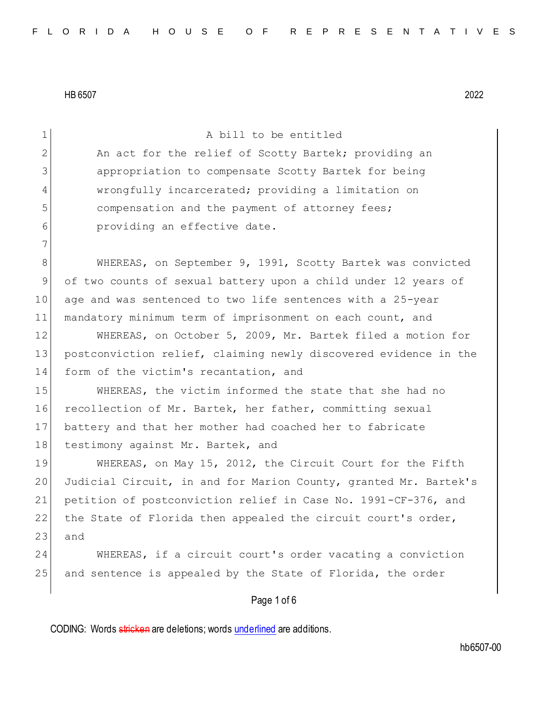| $\mathbf 1$  | A bill to be entitled                                            |
|--------------|------------------------------------------------------------------|
| $\mathbf{2}$ | An act for the relief of Scotty Bartek; providing an             |
| 3            | appropriation to compensate Scotty Bartek for being              |
| 4            | wrongfully incarcerated; providing a limitation on               |
| 5            | compensation and the payment of attorney fees;                   |
| 6            | providing an effective date.                                     |
| 7            |                                                                  |
| $8\,$        | WHEREAS, on September 9, 1991, Scotty Bartek was convicted       |
| 9            | of two counts of sexual battery upon a child under 12 years of   |
| 10           | age and was sentenced to two life sentences with a 25-year       |
| 11           | mandatory minimum term of imprisonment on each count, and        |
| 12           | WHEREAS, on October 5, 2009, Mr. Bartek filed a motion for       |
| 13           | postconviction relief, claiming newly discovered evidence in the |
| 14           | form of the victim's recantation, and                            |
| 15           | WHEREAS, the victim informed the state that she had no           |
| 16           | recollection of Mr. Bartek, her father, committing sexual        |
| 17           | battery and that her mother had coached her to fabricate         |
| 18           | testimony against Mr. Bartek, and                                |
| 19           | WHEREAS, on May 15, 2012, the Circuit Court for the Fifth        |
| 20           | Judicial Circuit, in and for Marion County, granted Mr. Bartek's |
| 21           | petition of postconviction relief in Case No. 1991-CF-376, and   |
| 22           | the State of Florida then appealed the circuit court's order,    |
| 23           | and                                                              |
| 24           | WHEREAS, if a circuit court's order vacating a conviction        |
| 25           | and sentence is appealed by the State of Florida, the order      |
|              | Page 1 of 6                                                      |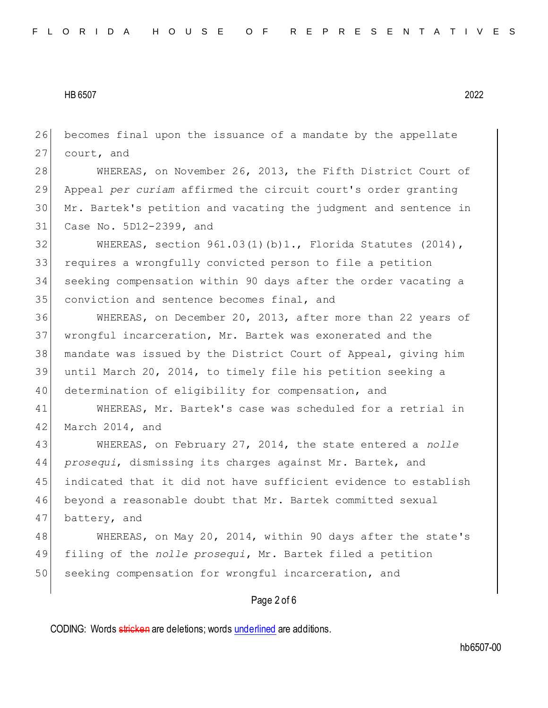becomes final upon the issuance of a mandate by the appellate 27 court, and

28 WHEREAS, on November 26, 2013, the Fifth District Court of Appeal *per curiam* affirmed the circuit court's order granting Mr. Bartek's petition and vacating the judgment and sentence in Case No. 5D12-2399, and

 WHEREAS, section 961.03(1)(b)1., Florida Statutes (2014), requires a wrongfully convicted person to file a petition seeking compensation within 90 days after the order vacating a conviction and sentence becomes final, and

 WHEREAS, on December 20, 2013, after more than 22 years of wrongful incarceration, Mr. Bartek was exonerated and the mandate was issued by the District Court of Appeal, giving him until March 20, 2014, to timely file his petition seeking a determination of eligibility for compensation, and

 WHEREAS, Mr. Bartek's case was scheduled for a retrial in 42 March 2014, and

 WHEREAS, on February 27, 2014, the state entered a *nolle prosequi*, dismissing its charges against Mr. Bartek, and indicated that it did not have sufficient evidence to establish beyond a reasonable doubt that Mr. Bartek committed sexual battery, and

48 WHEREAS, on May 20, 2014, within 90 days after the state's filing of the *nolle prosequi*, Mr. Bartek filed a petition 50 seeking compensation for wrongful incarceration, and

## Page 2 of 6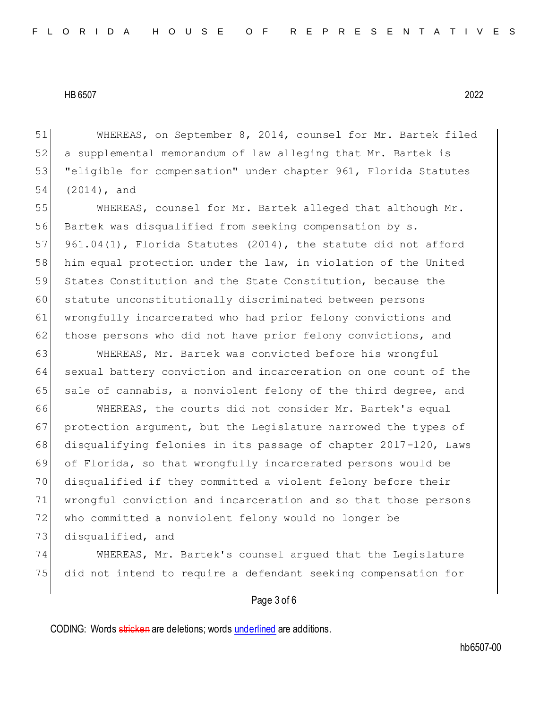WHEREAS, on September 8, 2014, counsel for Mr. Bartek filed a supplemental memorandum of law alleging that Mr. Bartek is "eligible for compensation" under chapter 961, Florida Statutes (2014), and

55 WHEREAS, counsel for Mr. Bartek alleged that although Mr. 56 Bartek was disqualified from seeking compensation by s. 57 961.04(1), Florida Statutes (2014), the statute did not afford 58 him equal protection under the law, in violation of the United 59 States Constitution and the State Constitution, because the 60 statute unconstitutionally discriminated between persons 61 wrongfully incarcerated who had prior felony convictions and 62 those persons who did not have prior felony convictions, and

63 WHEREAS, Mr. Bartek was convicted before his wrongful 64 sexual battery conviction and incarceration on one count of the 65 sale of cannabis, a nonviolent felony of the third degree, and

 WHEREAS, the courts did not consider Mr. Bartek's equal 67 protection argument, but the Legislature narrowed the types of disqualifying felonies in its passage of chapter 2017-120, Laws of Florida, so that wrongfully incarcerated persons would be disqualified if they committed a violent felony before their wrongful conviction and incarceration and so that those persons who committed a nonviolent felony would no longer be

73 disqualified, and

74 WHEREAS, Mr. Bartek's counsel argued that the Legislature 75 did not intend to require a defendant seeking compensation for

# Page 3 of 6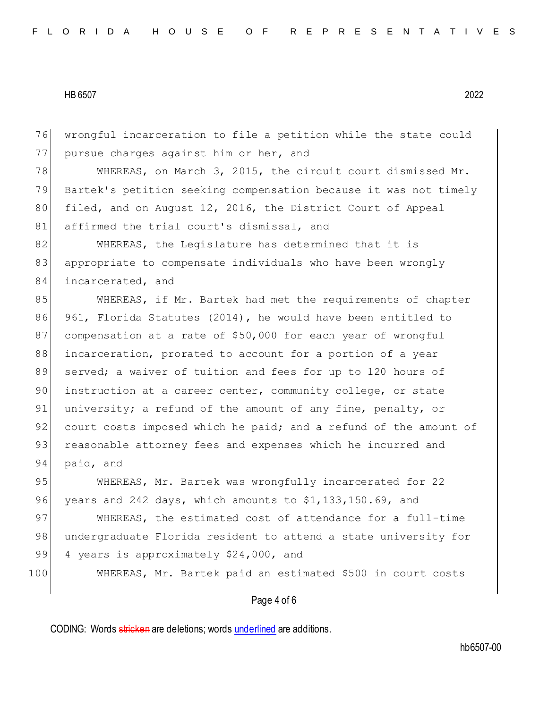76 wrongful incarceration to file a petition while the state could 77 pursue charges against him or her, and

78 WHEREAS, on March 3, 2015, the circuit court dismissed Mr. 79 Bartek's petition seeking compensation because it was not timely 80 filed, and on August 12, 2016, the District Court of Appeal 81 affirmed the trial court's dismissal, and

82 WHEREAS, the Legislature has determined that it is 83 appropriate to compensate individuals who have been wrongly 84 incarcerated, and

85 WHEREAS, if Mr. Bartek had met the requirements of chapter 86 961, Florida Statutes (2014), he would have been entitled to 87 compensation at a rate of \$50,000 for each year of wrongful 88 incarceration, prorated to account for a portion of a year 89 served; a waiver of tuition and fees for up to 120 hours of 90 instruction at a career center, community college, or state 91 university; a refund of the amount of any fine, penalty, or 92 court costs imposed which he paid; and a refund of the amount of 93 reasonable attorney fees and expenses which he incurred and 94 paid, and

95 WHEREAS, Mr. Bartek was wrongfully incarcerated for 22 96 years and 242 days, which amounts to  $$1,133,150.69$ , and

97 WHEREAS, the estimated cost of attendance for a full-time 98 undergraduate Florida resident to attend a state university for 99 4 years is approximately \$24,000, and

100 WHEREAS, Mr. Bartek paid an estimated \$500 in court costs

## Page 4 of 6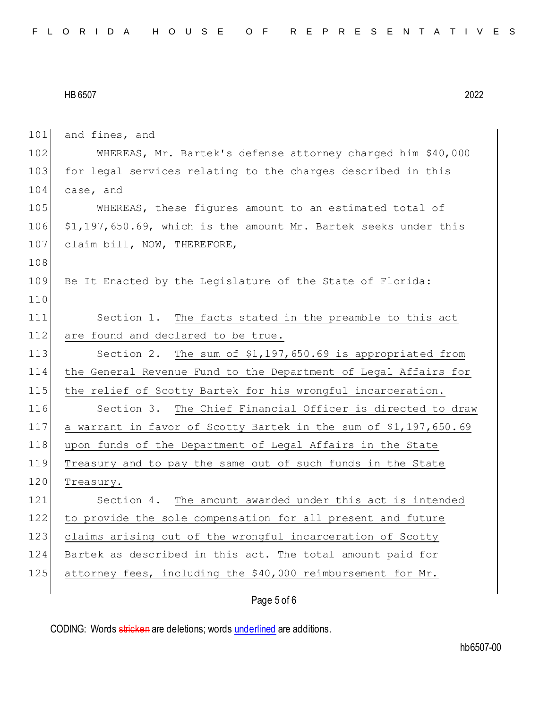| 101 | and fines, and                                                   |
|-----|------------------------------------------------------------------|
| 102 | WHEREAS, Mr. Bartek's defense attorney charged him \$40,000      |
| 103 | for legal services relating to the charges described in this     |
| 104 | case, and                                                        |
| 105 | WHEREAS, these figures amount to an estimated total of           |
| 106 | \$1,197,650.69, which is the amount Mr. Bartek seeks under this  |
| 107 | claim bill, NOW, THEREFORE,                                      |
| 108 |                                                                  |
| 109 | Be It Enacted by the Legislature of the State of Florida:        |
| 110 |                                                                  |
| 111 | Section 1. The facts stated in the preamble to this act          |
| 112 | are found and declared to be true.                               |
| 113 | Section 2. The sum of \$1,197,650.69 is appropriated from        |
| 114 | the General Revenue Fund to the Department of Legal Affairs for  |
| 115 | the relief of Scotty Bartek for his wrongful incarceration.      |
| 116 | Section 3. The Chief Financial Officer is directed to draw       |
| 117 | a warrant in favor of Scotty Bartek in the sum of \$1,197,650.69 |
| 118 | upon funds of the Department of Legal Affairs in the State       |
| 119 | Treasury and to pay the same out of such funds in the State      |
| 120 | Treasury.                                                        |
| 121 | Section 4. The amount awarded under this act is intended         |
| 122 | to provide the sole compensation for all present and future      |
| 123 | claims arising out of the wrongful incarceration of Scotty       |
| 124 | Bartek as described in this act. The total amount paid for       |
| 125 | attorney fees, including the \$40,000 reimbursement for Mr.      |
|     |                                                                  |

# Page 5 of 6